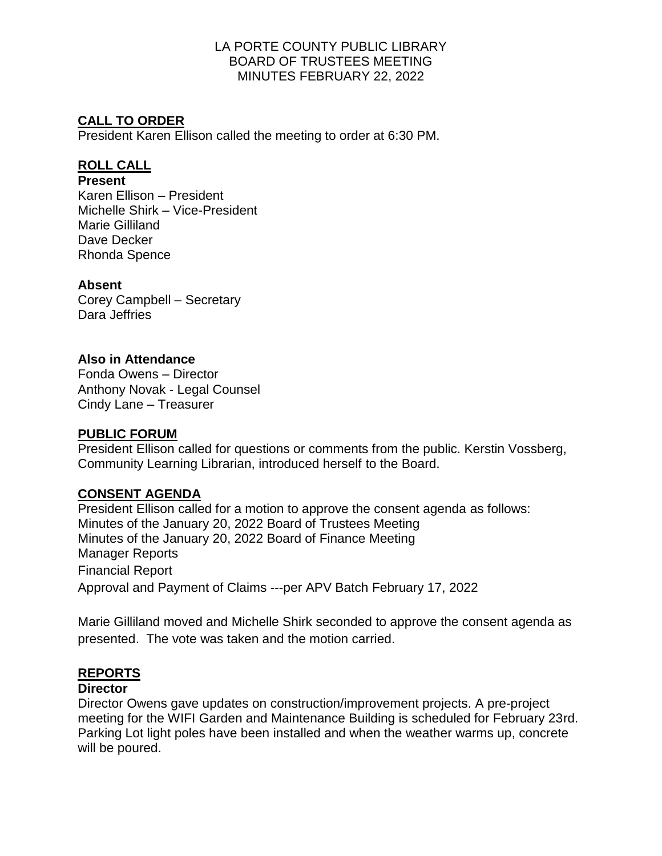# **CALL TO ORDER**

President Karen Ellison called the meeting to order at 6:30 PM.

## **ROLL CALL**

#### **Present**

Karen Ellison – President Michelle Shirk – Vice-President Marie Gilliland Dave Decker Rhonda Spence

### **Absent**

Corey Campbell – Secretary Dara Jeffries

## **Also in Attendance**

Fonda Owens – Director Anthony Novak - Legal Counsel Cindy Lane – Treasurer

### **PUBLIC FORUM**

President Ellison called for questions or comments from the public. Kerstin Vossberg, Community Learning Librarian, introduced herself to the Board.

### **CONSENT AGENDA**

President Ellison called for a motion to approve the consent agenda as follows: Minutes of the January 20, 2022 Board of Trustees Meeting Minutes of the January 20, 2022 Board of Finance Meeting Manager Reports Financial Report Approval and Payment of Claims ---per APV Batch February 17, 2022

Marie Gilliland moved and Michelle Shirk seconded to approve the consent agenda as presented. The vote was taken and the motion carried.

# **REPORTS**

### **Director**

Director Owens gave updates on construction/improvement projects. A pre-project meeting for the WIFI Garden and Maintenance Building is scheduled for February 23rd. Parking Lot light poles have been installed and when the weather warms up, concrete will be poured.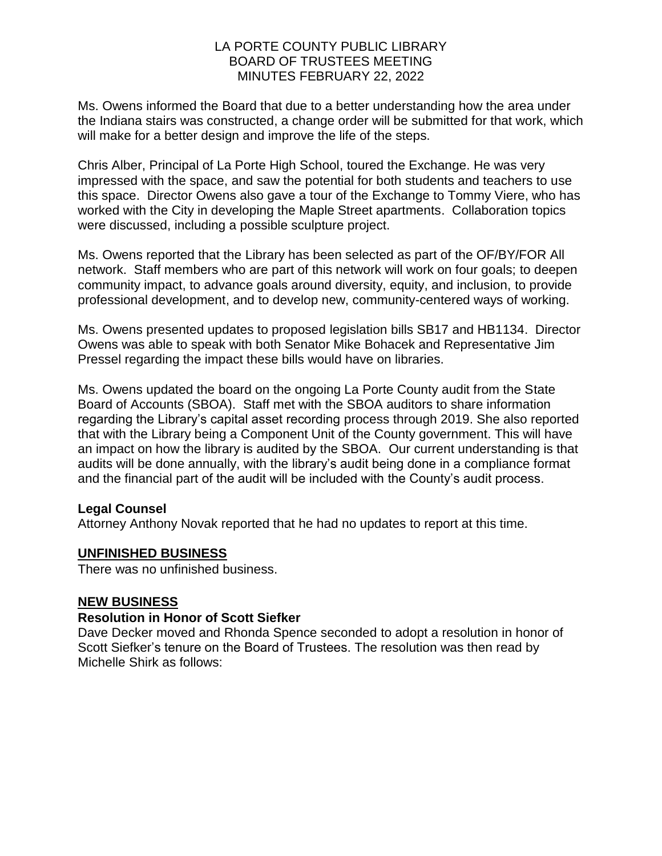Ms. Owens informed the Board that due to a better understanding how the area under the Indiana stairs was constructed, a change order will be submitted for that work, which will make for a better design and improve the life of the steps.

Chris Alber, Principal of La Porte High School, toured the Exchange. He was very impressed with the space, and saw the potential for both students and teachers to use this space. Director Owens also gave a tour of the Exchange to Tommy Viere, who has worked with the City in developing the Maple Street apartments. Collaboration topics were discussed, including a possible sculpture project.

Ms. Owens reported that the Library has been selected as part of the OF/BY/FOR All network. Staff members who are part of this network will work on four goals; to deepen community impact, to advance goals around diversity, equity, and inclusion, to provide professional development, and to develop new, community-centered ways of working.

Ms. Owens presented updates to proposed legislation bills SB17 and HB1134. Director Owens was able to speak with both Senator Mike Bohacek and Representative Jim Pressel regarding the impact these bills would have on libraries.

Ms. Owens updated the board on the ongoing La Porte County audit from the State Board of Accounts (SBOA). Staff met with the SBOA auditors to share information regarding the Library's capital asset recording process through 2019. She also reported that with the Library being a Component Unit of the County government. This will have an impact on how the library is audited by the SBOA. Our current understanding is that audits will be done annually, with the library's audit being done in a compliance format and the financial part of the audit will be included with the County's audit process.

### **Legal Counsel**

Attorney Anthony Novak reported that he had no updates to report at this time.

### **UNFINISHED BUSINESS**

There was no unfinished business.

#### **NEW BUSINESS**

#### **Resolution in Honor of Scott Siefker**

Dave Decker moved and Rhonda Spence seconded to adopt a resolution in honor of Scott Siefker's tenure on the Board of Trustees. The resolution was then read by Michelle Shirk as follows: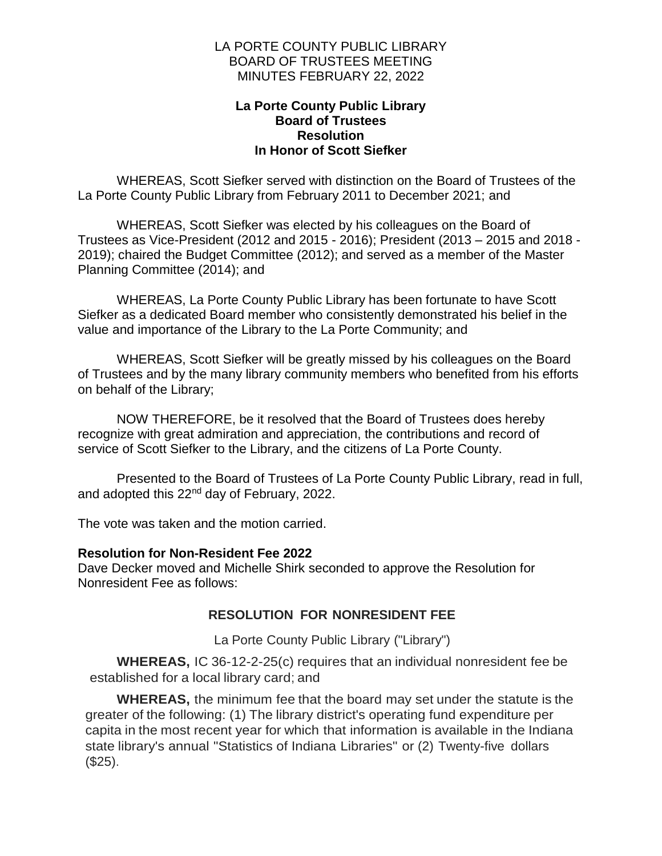#### **La Porte County Public Library Board of Trustees Resolution In Honor of Scott Siefker**

WHEREAS, Scott Siefker served with distinction on the Board of Trustees of the La Porte County Public Library from February 2011 to December 2021; and

WHEREAS, Scott Siefker was elected by his colleagues on the Board of Trustees as Vice-President (2012 and 2015 - 2016); President (2013 – 2015 and 2018 - 2019); chaired the Budget Committee (2012); and served as a member of the Master Planning Committee (2014); and

WHEREAS, La Porte County Public Library has been fortunate to have Scott Siefker as a dedicated Board member who consistently demonstrated his belief in the value and importance of the Library to the La Porte Community; and

WHEREAS, Scott Siefker will be greatly missed by his colleagues on the Board of Trustees and by the many library community members who benefited from his efforts on behalf of the Library;

NOW THEREFORE, be it resolved that the Board of Trustees does hereby recognize with great admiration and appreciation, the contributions and record of service of Scott Siefker to the Library, and the citizens of La Porte County.

Presented to the Board of Trustees of La Porte County Public Library, read in full, and adopted this 22<sup>nd</sup> day of February, 2022.

The vote was taken and the motion carried.

#### **Resolution for Non-Resident Fee 2022**

Dave Decker moved and Michelle Shirk seconded to approve the Resolution for Nonresident Fee as follows:

### **RESOLUTION FOR NONRESIDENT FEE**

La Porte County Public Library ("Library")

**WHEREAS,** IC 36-12-2-25(c) requires that an individual nonresident fee be established for a local library card; and

**WHEREAS,** the minimum fee that the board may set under the statute is the greater of the following: (1) The library district's operating fund expenditure per capita in the most recent year for which that information is available in the Indiana state library's annual "Statistics of Indiana Libraries" or (2) Twenty-five dollars (\$25).